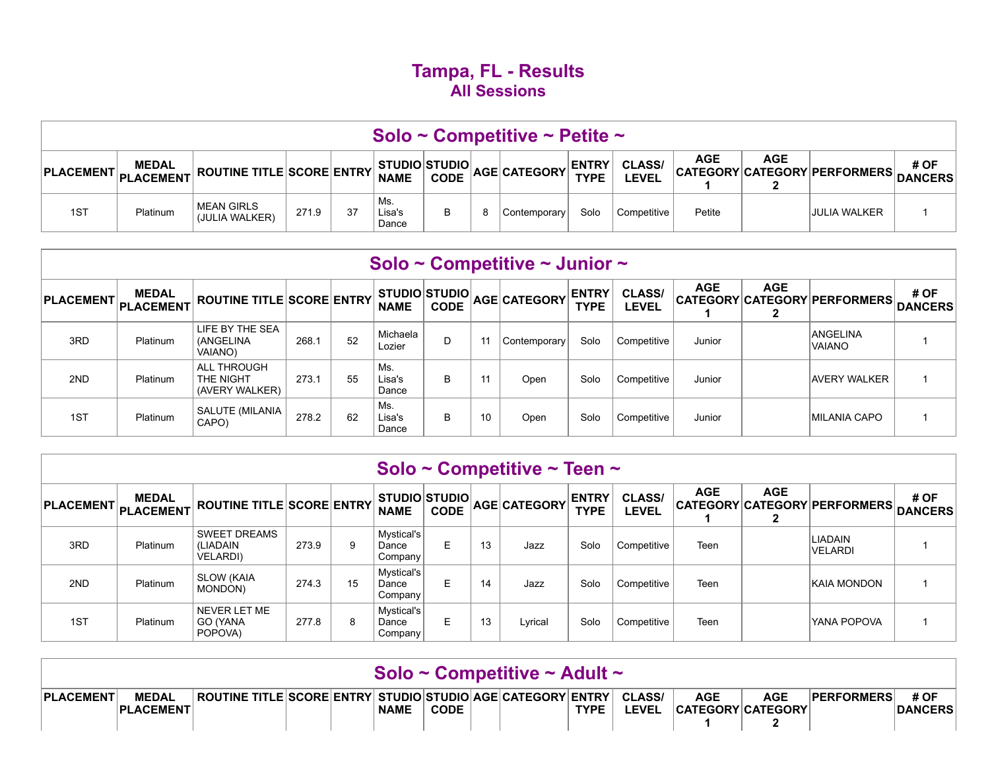## **Tampa, FL - Results All Sessions**

|                        |                 |                                                                           |       |    |                        |   | Solo ~ Competitive ~ Petite ~ |      |             |            |     |                                      |      |
|------------------------|-----------------|---------------------------------------------------------------------------|-------|----|------------------------|---|-------------------------------|------|-------------|------------|-----|--------------------------------------|------|
| PLACEMENT PLACEMENT N' | <b>MEDAL</b>    | $\frac{1}{2}$ ROUTINE TITLE SCORE ENTRY NAME CODE AGE CATEGORY TYPE LEVEL |       |    |                        |   |                               |      |             | <b>AGE</b> | AGE | CATEGORY CATEGORY PERFORMERS DANCERS | # OF |
| 1S <sub>T</sub>        | <b>Platinum</b> | <b>MEAN GIRLS</b><br>(JULIA WALKER)                                       | 271.9 | 37 | Ms.<br>Lisa's<br>Dance | 8 | Contemporary                  | Solo | Competitive | Petite     |     | <b>JULIA WALKER</b>                  |      |

|                  |                                  |                                                   |       |    |                                     |             |    | Solo ~ Competitive ~ Junior ~ |                             |                               |            |            |                                      |      |
|------------------|----------------------------------|---------------------------------------------------|-------|----|-------------------------------------|-------------|----|-------------------------------|-----------------------------|-------------------------------|------------|------------|--------------------------------------|------|
| <b>PLACEMENT</b> | <b>MEDAL</b><br><b>PLACEMENT</b> | <b>ROUTINE TITLE SCORE ENTRY</b>                  |       |    | <b>STUDIO STUDIO</b><br><b>NAME</b> | <b>CODE</b> |    | AGE CATEGORY                  | <b>ENTRY</b><br><b>TYPE</b> | <b>CLASS/</b><br><b>LEVEL</b> | <b>AGE</b> | <b>AGE</b> | CATEGORY CATEGORY PERFORMERS DANCERS | # OF |
| 3RD              | Platinum                         | LIFE BY THE SEA<br>(ANGELINA<br><b>VAIANO)</b>    | 268.1 | 52 | Michaela<br>Lozier                  | D           | 11 | Contemporary                  | Solo                        | Competitive                   | Junior     |            | <b>ANGELINA</b><br><b>VAIANO</b>     |      |
| 2ND              | Platinum                         | <b>ALL THROUGH</b><br>THE NIGHT<br>(AVERY WALKER) | 273.1 | 55 | Ms.<br>Lisa's<br>Dance              | B           | 11 | Open                          | Solo                        | Competitive                   | Junior     |            | AVERY WALKER                         |      |
| 1ST              | Platinum                         | SALUTE (MILANIA<br>CAPO)                          | 278.2 | 62 | Ms.<br>Lisa's<br>Dance              | В           | 10 | Open                          | Solo                        | Competitive                   | Junior     |            | MILANIA CAPO                         |      |

|     |                                     |                                                     |       |    |                                             |             |    | Solo ~ Competitive ~ Teen ~ |                             |                               |            |            |                                      |      |
|-----|-------------------------------------|-----------------------------------------------------|-------|----|---------------------------------------------|-------------|----|-----------------------------|-----------------------------|-------------------------------|------------|------------|--------------------------------------|------|
|     | <b>MEDAL</b><br>PLACEMENT PLACEMENT | <b>ROUTINE TITLE SCORE ENTRY</b>                    |       |    | <b>STUDIO STUDIO</b><br><b>NAME</b>         | <b>CODE</b> |    | AGE CATEGORY                | <b>ENTRY</b><br><b>TYPE</b> | <b>CLASS/</b><br><b>LEVEL</b> | <b>AGE</b> | <b>AGE</b> | CATEGORY CATEGORY PERFORMERS DANCERS | # OF |
| 3RD | Platinum                            | <b>SWEET DREAMS</b><br>(LIADAIN<br><b>VELARDI</b> ) | 273.9 | 9  | Mystical's<br>Dance<br>Company              | E           | 13 | Jazz                        | Solo                        | Competitive                   | Teen       |            | LIADAIN<br><b>VELARDI</b>            |      |
| 2ND | Platinum                            | <b>SLOW (KAIA)</b><br>MONDON)                       | 274.3 | 15 | Mystical's<br>Dance<br>Company <sup>1</sup> | E           | 14 | Jazz                        | Solo                        | Competitive                   | Teen       |            | <b>KAIA MONDON</b>                   |      |
| 1ST | Platinum                            | NEVER LET ME<br>GO (YANA<br>POPOVA)                 | 277.8 | 8  | Mystical's<br>Dance<br>Company              | E.          | 13 | Lyrical                     | Solo                        | Competitive                   | Teen       |            | YANA POPOVA                          |      |

|                  |                                  |                                                                   |  |             |             | Solo ~ Competitive ~ Adult ~ |             |                               |                                        |            |                   |                        |
|------------------|----------------------------------|-------------------------------------------------------------------|--|-------------|-------------|------------------------------|-------------|-------------------------------|----------------------------------------|------------|-------------------|------------------------|
| <b>PLACEMENT</b> | <b>MEDAL</b><br><b>PLACEMENT</b> | <b>ROUTINE TITLE SCORE ENTRY STUDIO STUDIO AGE CATEGORY ENTRY</b> |  | <b>NAME</b> | <b>CODE</b> |                              | <b>TYPE</b> | <b>CLASS/</b><br><b>LEVEL</b> | <b>AGE</b><br><b>CATEGORY CATEGORY</b> | <b>AGE</b> | <b>PERFORMERS</b> | # OF<br><b>DANCERS</b> |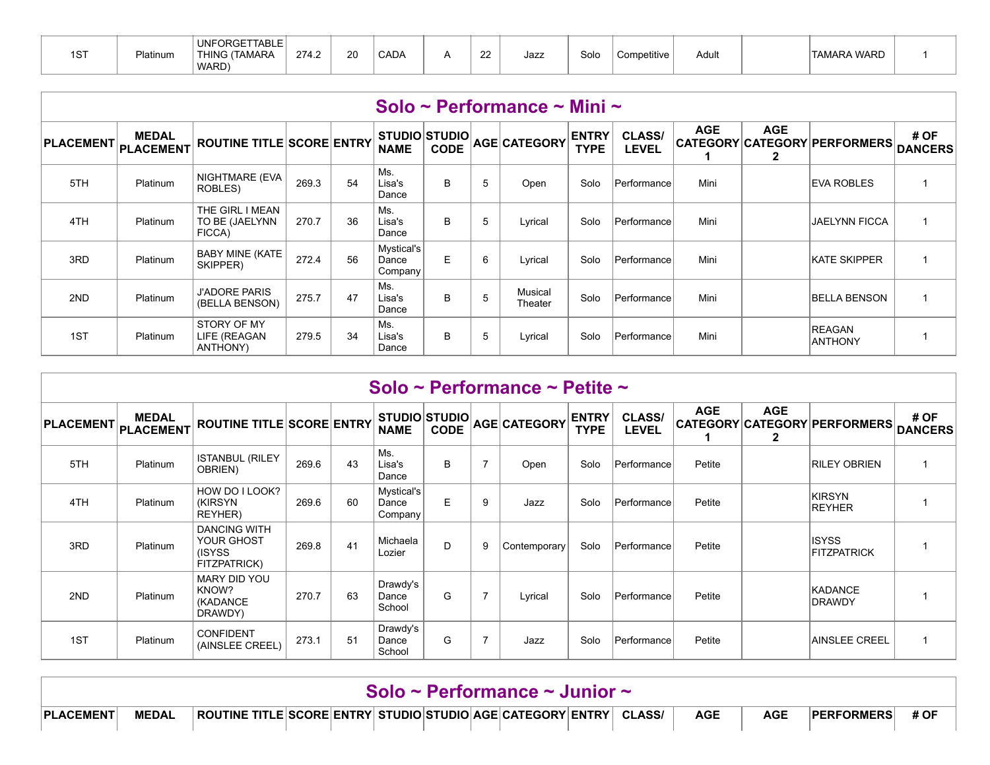| 1ST | Platinum | <b>UNFORGETTABLE</b><br>THING (TAMARA<br>WARD) | 274.2 | 20 | CADA |  | $\sim$<br>" | Jazz | Solo | Competitive | Adult |  | <b>TAMARA WARD</b> |  |
|-----|----------|------------------------------------------------|-------|----|------|--|-------------|------|------|-------------|-------|--|--------------------|--|
|-----|----------|------------------------------------------------|-------|----|------|--|-------------|------|------|-------------|-------|--|--------------------|--|

|                  |                           |                                             |       |    |                                |             |   | Solo ~ Performance ~ Mini ~ |                             |                               |            |                            |                                 |                        |
|------------------|---------------------------|---------------------------------------------|-------|----|--------------------------------|-------------|---|-----------------------------|-----------------------------|-------------------------------|------------|----------------------------|---------------------------------|------------------------|
| <b>PLACEMENT</b> | <b>MEDAL</b><br>PLACEMENT | <b>ROUTINE TITLE SCORE ENTRY</b>            |       |    | STUDIO STUDIO<br><b>NAME</b>   | <b>CODE</b> |   | AGE CATEGORY                | <b>ENTRY</b><br><b>TYPE</b> | <b>CLASS/</b><br><b>LEVEL</b> | <b>AGE</b> | <b>AGE</b><br>$\mathbf{2}$ | CATEGORY CATEGORY PERFORMERS    | # OF<br><b>DANCERS</b> |
| 5TH              | Platinum                  | NIGHTMARE (EVA<br>ROBLES)                   | 269.3 | 54 | Ms.<br>Lisa's<br>Dance         | B           | 5 | Open                        | Solo                        | Performance                   | Mini       |                            | <b>EVA ROBLES</b>               |                        |
| 4TH              | Platinum                  | THE GIRL I MEAN<br>TO BE (JAELYNN<br>FICCA) | 270.7 | 36 | Ms.<br>Lisa's<br>Dance         | B           | 5 | Lyrical                     | Solo                        | Performance                   | Mini       |                            | <b>JAELYNN FICCA</b>            |                        |
| 3RD              | Platinum                  | <b>BABY MINE (KATE</b><br>SKIPPER)          | 272.4 | 56 | Mystical's<br>Dance<br>Company | E           | 6 | Lyrical                     | Solo                        | Performance                   | Mini       |                            | <b>KATE SKIPPER</b>             |                        |
| 2ND              | Platinum                  | <b>J'ADORE PARIS</b><br>(BELLA BENSON)      | 275.7 | 47 | Ms.<br>Lisa's<br>Dance         | B           | 5 | Musical<br>Theater          | Solo                        | <b>Performance</b>            | Mini       |                            | <b>BELLA BENSON</b>             |                        |
| 1ST              | Platinum                  | STORY OF MY<br>LIFE (REAGAN<br>ANTHONY)     | 279.5 | 34 | Ms.<br>Lisa's<br>Dance         | B           | 5 | Lyrical                     | Solo                        | Performance                   | Mini       |                            | <b>REAGAN</b><br><b>ANTHONY</b> |                        |

|                  |                           |                                                             |       |    |                                |             |                | Solo ~ Performance ~ Petite ~ |                             |                               |            |                            |                                    |                        |
|------------------|---------------------------|-------------------------------------------------------------|-------|----|--------------------------------|-------------|----------------|-------------------------------|-----------------------------|-------------------------------|------------|----------------------------|------------------------------------|------------------------|
| <b>PLACEMENT</b> | <b>MEDAL</b><br>PLACEMENT | <b>ROUTINE TITLE SCORE ENTRY</b>                            |       |    | STUDIO STUDIO<br><b>NAME</b>   | <b>CODE</b> |                | AGE CATEGORY                  | <b>ENTRY</b><br><b>TYPE</b> | <b>CLASS/</b><br><b>LEVEL</b> | <b>AGE</b> | <b>AGE</b><br>$\mathbf{2}$ | CATEGORY CATEGORY PERFORMERS       | # OF<br><b>DANCERS</b> |
| 5TH              | Platinum                  | <b>ISTANBUL (RILEY</b><br>OBRIEN)                           | 269.6 | 43 | Ms.<br>Lisa's<br>Dance         | B           | $\overline{7}$ | Open                          | Solo                        | Performance                   | Petite     |                            | <b>RILEY OBRIEN</b>                |                        |
| 4TH              | Platinum                  | HOW DO I LOOK?<br><b>(KIRSYN)</b><br>REYHER)                | 269.6 | 60 | Mystical's<br>Dance<br>Company | E           | 9              | Jazz                          | Solo                        | Performance                   | Petite     |                            | KIRSYN<br><b>REYHER</b>            |                        |
| 3RD              | Platinum                  | <b>DANCING WITH</b><br>YOUR GHOST<br>(ISYSS<br>FITZPATRICK) | 269.8 | 41 | Michaela<br>Lozier             | D.          | 9              | Contemporary                  | Solo                        | Performance                   | Petite     |                            | <b>ISYSS</b><br><b>FITZPATRICK</b> |                        |
| 2ND              | Platinum                  | <b>MARY DID YOU</b><br>KNOW?<br>(KADANCE<br>DRAWDY)         | 270.7 | 63 | Drawdy's<br>Dance<br>School    | G           | $\overline{7}$ | Lyrical                       | Solo                        | Performance                   | Petite     |                            | KADANCE<br><b>DRAWDY</b>           |                        |
| 1ST              | Platinum                  | <b>CONFIDENT</b><br>(AINSLEE CREEL)                         | 273.1 | 51 | Drawdy's<br>Dance<br>School    | G           | $\overline{7}$ | Jazz                          | Solo                        | Performance                   | Petite     |                            | <b>AINSLEE CREEL</b>               |                        |

|                  |              |                                                                      |  |  | Solo ~ Performance ~ Junior ~ |  |            |            |                   |      |
|------------------|--------------|----------------------------------------------------------------------|--|--|-------------------------------|--|------------|------------|-------------------|------|
| <b>PLACEMENT</b> | <b>MEDAL</b> | ∣ROUTINE TITLE∣SCORE∣ENTRY∣ STUDIO∣STUDIO∣AGE∣CATEGORY∣ENTRY│ CLASS/ |  |  |                               |  | <b>AGE</b> | <b>AGE</b> | <b>PERFORMERS</b> | # OF |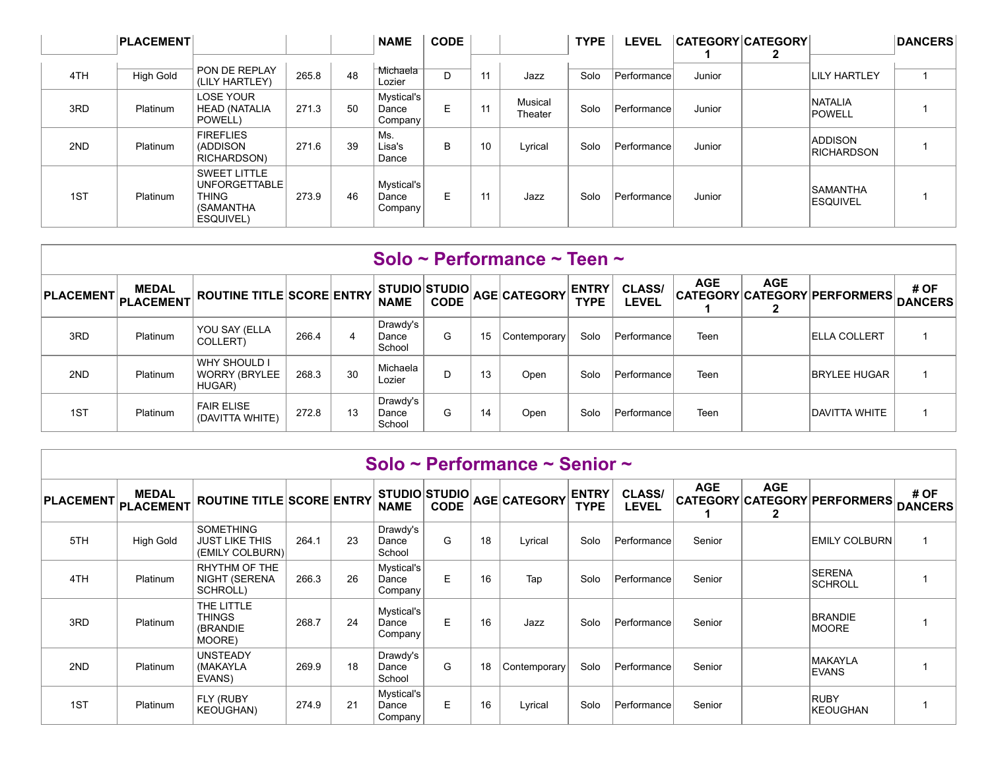|     | <b>PLACEMENT</b> |                                                                                |       |    | <b>NAME</b>                    | <b>CODE</b> |    |                    | <b>TYPE</b> | <b>LEVEL</b> |        | <b>CATEGORY CATEGORY</b> |                                     | <b>DANCERS</b> |
|-----|------------------|--------------------------------------------------------------------------------|-------|----|--------------------------------|-------------|----|--------------------|-------------|--------------|--------|--------------------------|-------------------------------------|----------------|
| 4TH | High Gold        | PON DE REPLAY<br>(LILY HARTLEY)                                                | 265.8 | 48 | Michaela<br>Lozier             | D           | 11 | Jazz               | Solo        | Performance  | Junior |                          | <b>LILY HARTLEY</b>                 |                |
| 3RD | Platinum         | <b>LOSE YOUR</b><br><b>HEAD (NATALIA</b><br>POWELL)                            | 271.3 | 50 | Mystical's<br>Dance<br>Company | E           | 11 | Musical<br>Theater | Solo        | Performancel | Junior |                          | <b>NATALIA</b><br><b>POWELL</b>     |                |
| 2ND | Platinum         | <b>FIREFLIES</b><br>(ADDISON<br>RICHARDSON)                                    | 271.6 | 39 | Ms.<br>Lisa's<br>Dance         | B           | 10 | Lyrical            | Solo        | Performance  | Junior |                          | <b>ADDISON</b><br><b>RICHARDSON</b> |                |
| 1ST | Platinum         | <b>SWEET LITTLE</b><br>UNFORGETTABLE<br><b>THING</b><br>(SAMANTHA<br>ESQUIVEL) | 273.9 | 46 | Mystical's<br>Dance<br>Company | E           | 11 | Jazz               | Solo        | Performance  | Junior |                          | <b>SAMANTHA</b><br><b>ESQUIVEL</b>  |                |

|                     |              |                                                       |       |    |                               |             |    | Solo ~ Performance ~ Teen ~ |                             |                               |            |            |                              |                        |
|---------------------|--------------|-------------------------------------------------------|-------|----|-------------------------------|-------------|----|-----------------------------|-----------------------------|-------------------------------|------------|------------|------------------------------|------------------------|
| PLACEMENT PLACEMENT | <b>MEDAL</b> | <b>ROUTINE TITLE SCORE ENTRY</b>                      |       |    | STUDIO STUDIO <br><b>NAME</b> | <b>CODE</b> |    | AGE CATEGORY                | <b>ENTRY</b><br><b>TYPE</b> | <b>CLASS/</b><br><b>LEVEL</b> | <b>AGE</b> | <b>AGE</b> | CATEGORY CATEGORY PERFORMERS | # OF<br><b>DANCERS</b> |
| 3RD                 | Platinum     | YOU SAY (ELLA<br>COLLERT)                             | 266.4 | 4  | Drawdy's<br>Dance<br>School   | G           | 15 | Contemporary                | Solo                        | Performance                   | Teen       |            | <b>ELLA COLLERT</b>          |                        |
| 2ND                 | Platinum     | <b>WHY SHOULD I</b><br><b>WORRY (BRYLEE</b><br>HUGAR) | 268.3 | 30 | Michaela<br>Lozier            | D           | 13 | Open                        | Solo                        | Performance                   | Teen       |            | <b>BRYLEE HUGAR</b>          |                        |
| 1ST                 | Platinum     | <b>FAIR ELISE</b><br>(DAVITTA WHITE)                  | 272.8 | 13 | Drawdy's<br>Dance<br>School   | G           | 14 | Open                        | Solo                        | Performance                   | Teen       |            | IDAVITTA WHITE               |                        |

|                  |                           |                                                       |       |    |                                     |             |    | Solo ~ Performance ~ Senior ~    |             |                               |            |                 |                                  |                        |
|------------------|---------------------------|-------------------------------------------------------|-------|----|-------------------------------------|-------------|----|----------------------------------|-------------|-------------------------------|------------|-----------------|----------------------------------|------------------------|
| <b>PLACEMENT</b> | <b>MEDAL</b><br>PLACEMENT | <b>ROUTINE TITLE SCORE ENTRY</b>                      |       |    | <b>STUDIO STUDIO</b><br><b>NAME</b> | <b>CODE</b> |    | ' AGE CATEGORY <sup> ENTRY</sup> | <b>TYPE</b> | <b>CLASS/</b><br><b>LEVEL</b> | <b>AGE</b> | <b>AGE</b><br>2 | CATEGORY CATEGORY PERFORMERS     | # OF<br><b>DANCERS</b> |
| 5TH              | High Gold                 | <b>SOMETHING</b><br>JUST LIKE THIS<br>(EMILY COLBURN) | 264.1 | 23 | Drawdy's<br>Dance<br>School         | G           | 18 | Lyrical                          | Solo        | Performance                   | Senior     |                 | EMILY COLBURN                    |                        |
| 4TH              | Platinum                  | RHYTHM OF THE<br>NIGHT (SERENA<br>SCHROLL)            | 266.3 | 26 | Mystical's<br>Dance<br>Company      | E.          | 16 | Tap                              | Solo        | Performance                   | Senior     |                 | <b>ISERENA</b><br><b>SCHROLL</b> |                        |
| 3RD              | Platinum                  | THE LITTLE<br><b>THINGS</b><br>(BRANDIE<br>MOORE)     | 268.7 | 24 | Mystical's<br>Dance<br>Company      | E.          | 16 | Jazz                             | Solo        | Performance                   | Senior     |                 | <b>BRANDIE</b><br><b>MOORE</b>   |                        |
| 2ND              | Platinum                  | <b>UNSTEADY</b><br>(MAKAYLA<br>EVANS)                 | 269.9 | 18 | Drawdy's<br>Dance<br>School         | G           | 18 | Contemporary                     | Solo        | Performance                   | Senior     |                 | <b>MAKAYLA</b><br><b>EVANS</b>   |                        |
| 1ST              | Platinum                  | FLY (RUBY<br><b>KEOUGHAN)</b>                         | 274.9 | 21 | Mystical's<br>Dance<br>Company      | E.          | 16 | Lyrical                          | Solo        | Performance                   | Senior     |                 | <b>RUBY</b><br><b>KEOUGHAN</b>   |                        |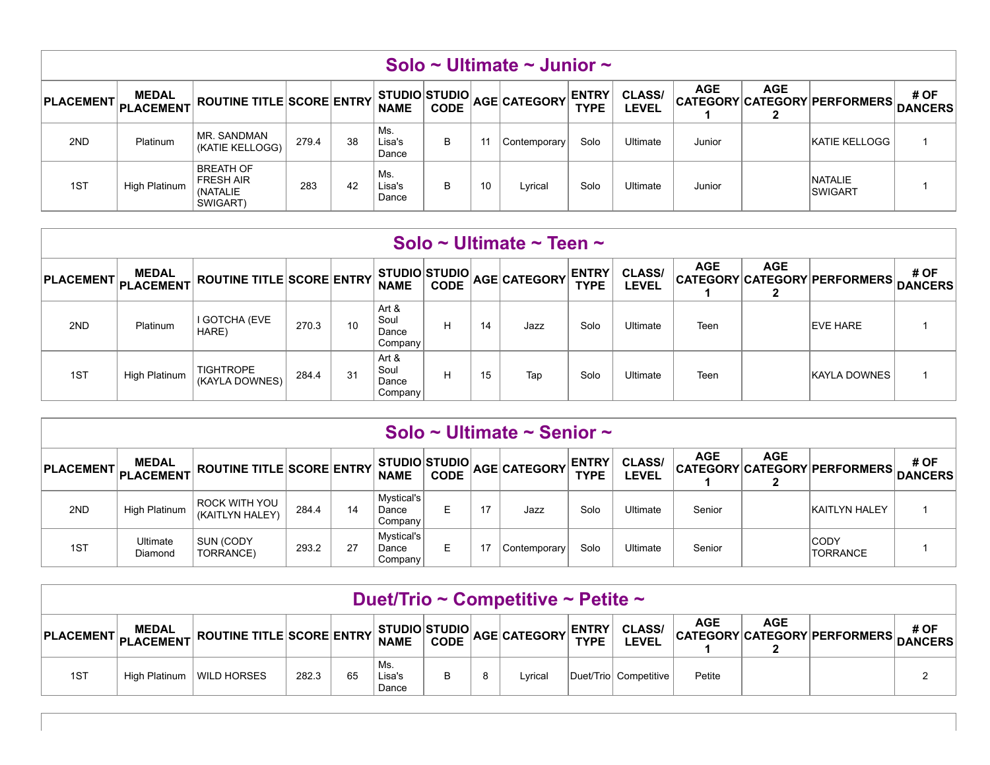|                  |                           |                                                              |       |    |                                        |             |    | Solo ~ Ultimate ~ Junior ~ |                             |                        |            |            |                              |                        |
|------------------|---------------------------|--------------------------------------------------------------|-------|----|----------------------------------------|-------------|----|----------------------------|-----------------------------|------------------------|------------|------------|------------------------------|------------------------|
| <b>PLACEMENT</b> | <b>MEDAL</b><br>PLACEMENT | <b>ROUTINE TITLE SCORE ENTRY</b>                             |       |    | STUDIO STUDIO <br><b>NAME</b>          | <b>CODE</b> |    | AGE CATEGORY               | <b>ENTRY</b><br><b>TYPE</b> | <b>CLASS/</b><br>LEVEL | <b>AGE</b> | <b>AGE</b> | CATEGORY CATEGORY PERFORMERS | # OF<br><b>DANCERS</b> |
| 2ND              | Platinum                  | MR. SANDMAN<br>(KATIE KELLOGG)                               | 279.4 | 38 | Ms.<br>Lisa's<br>Dance                 | B           | 11 | Contemporary               | Solo                        | Ultimate               | Junior     |            | KATIE KELLOGG                |                        |
| 1ST              | High Platinum             | <b>BREATH OF</b><br><b>FRESH AIR</b><br>(NATALIE<br>SWIGART) | 283   | 42 | $^{\mathrm{+}}$ Ms.<br>Lisa's<br>Dance | B           | 10 | Lyrical                    | Solo                        | Ultimate               | Junior     |            | NATALIE<br><b>SWIGART</b>    |                        |

|                  |                           |                                    |       |    |                                     |             |    | Solo ~ Ultimate ~ Teen ~ |                             |                               |            |                            |                              |                        |
|------------------|---------------------------|------------------------------------|-------|----|-------------------------------------|-------------|----|--------------------------|-----------------------------|-------------------------------|------------|----------------------------|------------------------------|------------------------|
| <b>PLACEMENT</b> | <b>MEDAL</b><br>PLACEMENT | <b>ROUTINE TITLE SCORE ENTRY</b>   |       |    | <b>STUDIO STUDIO</b><br><b>NAME</b> | <b>CODE</b> |    | AGE CATEGORY             | <b>ENTRY</b><br><b>TYPE</b> | <b>CLASS/</b><br><b>LEVEL</b> | <b>AGE</b> | <b>AGE</b><br>$\mathbf{2}$ | CATEGORY CATEGORY PERFORMERS | # OF<br><b>DANCERS</b> |
| 2ND              | Platinum                  | I GOTCHA (EVE<br>HARE)             | 270.3 | 10 | Art &<br>Soul<br>Dance<br>Company   | H           | 14 | Jazz                     | Solo                        | Ultimate                      | Teen       |                            | <b>EVE HARE</b>              |                        |
| 1ST              | High Platinum             | <b>TIGHTROPE</b><br>(KAYLA DOWNES) | 284.4 | 31 | Art &<br>Soul<br>Dance<br>Company   | H           | 15 | Tap                      | Solo                        | Ultimate                      | Teen       |                            | <b>KAYLA DOWNES</b>          |                        |

|     |                                                                                                                                                                                                                                                                                                        |                                  |       |    |                                |    |    | Solo ~ Ultimate ~ Senior ~ |      |          |        |  |                                |  |  |
|-----|--------------------------------------------------------------------------------------------------------------------------------------------------------------------------------------------------------------------------------------------------------------------------------------------------------|----------------------------------|-------|----|--------------------------------|----|----|----------------------------|------|----------|--------|--|--------------------------------|--|--|
|     | <b>AGE</b><br><b>AGE</b><br><b>CLASS/</b><br># OF<br><b>MEDAL</b><br><b>ENTRY</b><br><b>STUDIO STUDIO</b><br>AGE CATEGORY<br><b>ROUTINE TITLE SCORE ENTRY</b><br>PLACEMENT PLACEMENT <sup>I</sup><br>CATEGORY CATEGORY PERFORMERS DANCERS<br><b>CODE</b><br><b>NAME</b><br><b>TYPE</b><br><b>LEVEL</b> |                                  |       |    |                                |    |    |                            |      |          |        |  |                                |  |  |
| 2ND | High Platinum                                                                                                                                                                                                                                                                                          | ROCK WITH YOU<br>(KAITLYN HALEY) | 284.4 | 14 | Mystical's<br>Dance<br>Company | E  | 17 | Jazz                       | Solo | Ultimate | Senior |  | <b>KAITLYN HALEY</b>           |  |  |
| 1ST | Ultimate<br>Diamond                                                                                                                                                                                                                                                                                    | <b>SUN (CODY)</b><br>TORRANCE)   | 293.2 | 27 | Mystical's<br>Dance<br>Company | E. |    | Contemporary               | Solo | Ultimate | Senior |  | <b>CODY</b><br><b>TORRANCE</b> |  |  |

|     |                                                                                                                                                                                                 |             |       |    |                        |  |   | Duet/Trio ~ Competitive ~ Petite ~ |  |                       |        |  |  |  |  |
|-----|-------------------------------------------------------------------------------------------------------------------------------------------------------------------------------------------------|-------------|-------|----|------------------------|--|---|------------------------------------|--|-----------------------|--------|--|--|--|--|
|     | <b>AGE</b><br><b>AGE</b><br>$\frac{1}{N}$ ROUTINE TITLE SCORE ENTRY NAME CODE AGE CATEGORY TYPE LEVEL<br># OF<br><b>MEDAL</b><br>CATEGORY CATEGORY PERFORMERS DANCERS<br>PLACEMENT PLACEMENT K' |             |       |    |                        |  |   |                                    |  |                       |        |  |  |  |  |
| 1ST | High Platinum                                                                                                                                                                                   | WILD HORSES | 282.3 | 65 | Ms.<br>Lisa's<br>Dance |  | 8 | Lvrical                            |  | Duet/Trio Competitive | Petite |  |  |  |  |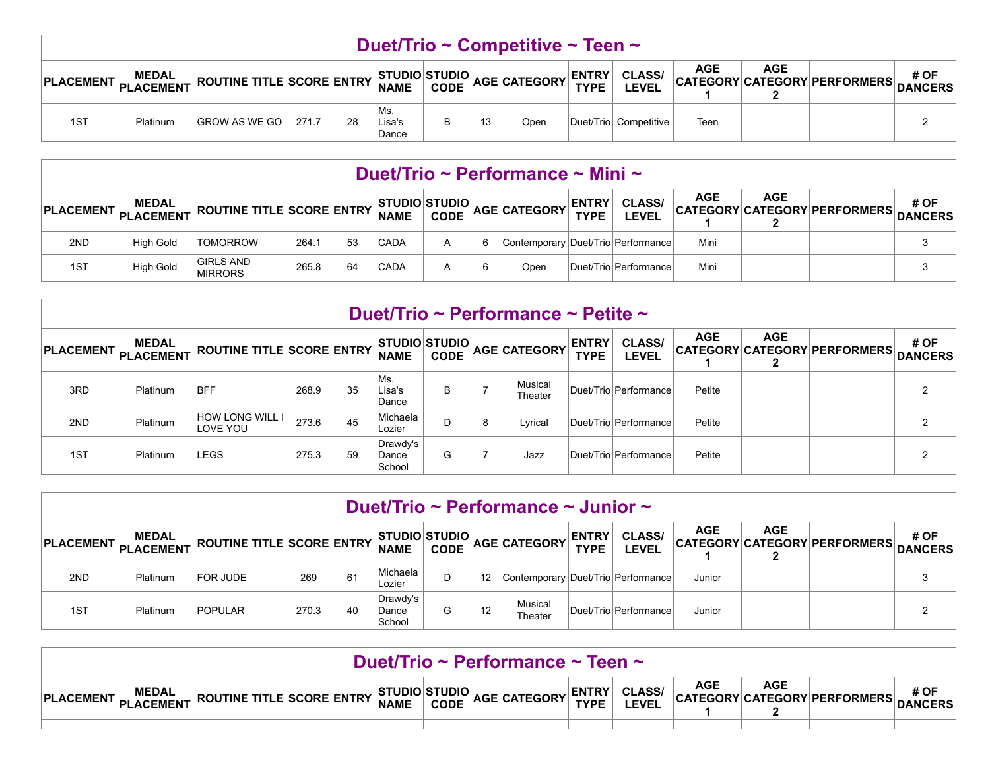## **Duet/Trio ~ Competitive ~ Teen ~**

|     | <b>MEDAL</b><br>rLACEMENT PLACEMENT NUU | $\mathbf{L}$ ROUTINE TITLE SCORE ENTRY NAME |       |    |                        |    | SANT CODE AGE CATEGORY ENTRY CLASS |                        | AGE  | <b>AGE</b> | CATEGORY CATEGORY PERFORMERS DANCERS | # OF |
|-----|-----------------------------------------|---------------------------------------------|-------|----|------------------------|----|------------------------------------|------------------------|------|------------|--------------------------------------|------|
| 1ST | Platinum                                | GROW AS WE GO                               | 271.7 | 28 | Ms.<br>Lisa's<br>Dance | 13 | Open                               | Duet/Triol Competitive | Teen |            |                                      |      |

## **Duet/Trio ~ Performance ~ Mini ~**

| PLACEMENT PLACEMENT NULL | <b>MEDAL</b>     | $\kappa$ ROUTINE TITLE SCORE ENTRY NAME |       |    |             |  | CODE AGE CATEGORY ENTRY ULL            | <b>CLASS/</b>         | AGE  | <b>AGE</b> | CATEGORY CATEGORY PERFORMERS DANCERS | # OF |
|--------------------------|------------------|-----------------------------------------|-------|----|-------------|--|----------------------------------------|-----------------------|------|------------|--------------------------------------|------|
| 2ND                      | <b>High Gold</b> | <b>TOMORROW</b>                         | 264.1 | 53 | <b>CADA</b> |  | Contemporary   Duet/Trio   Performance |                       | Mini |            |                                      |      |
| 1ST                      | High Gold        | <b>GIRLS AND</b><br><b>MIRRORS</b>      | 265.8 | 64 | <b>CADA</b> |  | Open                                   | Duet/Trio Performance | Mini |            |                                      |      |

|                                  |              |                                    |       |    |                             |             |                          | Duet/Trio ~ Performance ~ Petite ~ |                             |                               |            |            |                                      |      |
|----------------------------------|--------------|------------------------------------|-------|----|-----------------------------|-------------|--------------------------|------------------------------------|-----------------------------|-------------------------------|------------|------------|--------------------------------------|------|
| PLACEMENT PLACEMENT <sup>1</sup> | <b>MEDAL</b> | <b>ROUTINE TITLE SCORE ENTRY</b>   |       |    | <b>NAME</b>                 | <b>CODE</b> |                          | v STUDIO STUDIO AGE CATEGORY F     | <b>ENTRY</b><br><b>TYPE</b> | <b>CLASS/</b><br><b>LEVEL</b> | <b>AGE</b> | <b>AGE</b> | CATEGORY CATEGORY PERFORMERS DANCERS | # OF |
| 3RD                              | Platinum     | <b>BFF</b>                         | 268.9 | 35 | Ms.<br>Lisa's<br>Dance      | B           |                          | Musical<br>Theater                 |                             | Duet/TriolPerformancel        | Petite     |            |                                      | ົ    |
| 2ND                              | Platinum     | <b>HOW LONG WILL I</b><br>LOVE YOU | 273.6 | 45 | Michaela<br>Lozier          | D           | 8                        | Lyrical                            |                             | Duet/Trio Performance         | Petite     |            |                                      | ົ    |
| 1ST                              | Platinum     | <b>LEGS</b>                        | 275.3 | 59 | Drawdy's<br>Dance<br>School | G           | $\overline{\phantom{a}}$ | Jazz                               |                             | Duet/Trio Performance         | Petite     |            |                                      | ົ    |

|     |                                                                                                                                                                                                                                              |                |       |    |                             |   |                   | Duet/Trio ~ Performance ~ Junior ~     |  |                       |        |  |  |   |  |
|-----|----------------------------------------------------------------------------------------------------------------------------------------------------------------------------------------------------------------------------------------------|----------------|-------|----|-----------------------------|---|-------------------|----------------------------------------|--|-----------------------|--------|--|--|---|--|
|     | <b>AGE</b><br><b>AGE</b><br>STUDIO STUDIO AGE CATEGORY ENTRY<br># OF<br><b>CLASS/</b><br><b>MEDAL</b><br>CATEGORY CATEGORY PERFORMERS DANCERS<br>$^\dagger$ ROUTINE TITLE SCORE ENTRY ,<br>PLACEMENT PLACEMENT <sup>I"</sup><br><b>LEVEL</b> |                |       |    |                             |   |                   |                                        |  |                       |        |  |  |   |  |
| 2ND | Platinum                                                                                                                                                                                                                                     | FOR JUDE       | 269   | 61 | Michaela<br>Lozier          | D | $12 \overline{ }$ | Contemporary   Duet/Trio   Performance |  |                       | Junior |  |  | 3 |  |
| 1ST | Platinum                                                                                                                                                                                                                                     | <b>POPULAR</b> | 270.3 | 40 | Drawdy's<br>Dance<br>School | G | 12                | Musical<br>Theater                     |  | Duet/Trio Performance | Junior |  |  |   |  |

|                           |              |                                                                 |  |  | Duet/Trio ~ Performance ~ Teen ~ |                               |            |            |                                      |      |
|---------------------------|--------------|-----------------------------------------------------------------|--|--|----------------------------------|-------------------------------|------------|------------|--------------------------------------|------|
| PLACEMENT PLACEMENT NUW . | <b>MEDAL</b> | $\frac{1}{2}$ ROUTINE TITLE SCORE ENTRY NAME CODE $\frac{1}{2}$ |  |  | STUDIO AGE CATEGORY ENTRY        | <b>CLASS/</b><br><b>LEVEL</b> | <b>AGE</b> | <b>AGE</b> | CATEGORY CATEGORY PERFORMERS DANCERS | # OF |
|                           |              |                                                                 |  |  |                                  |                               |            |            |                                      |      |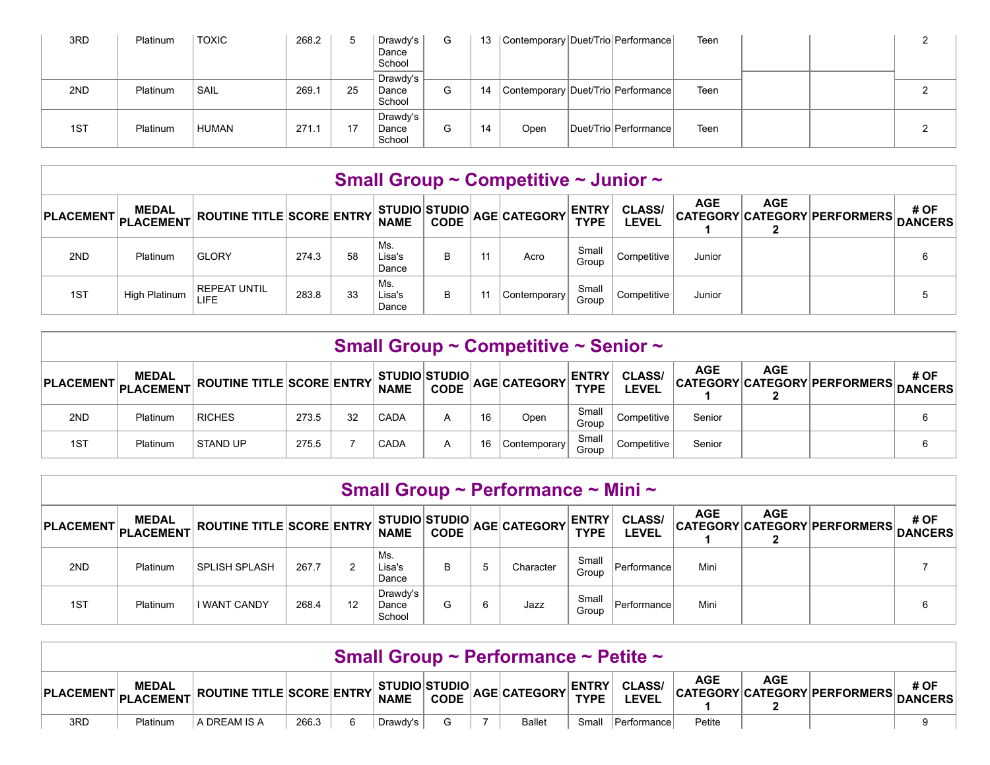| 3RD | Platinum | <b>TOXIC</b> | 268.2 | $\mathbf b$ | Drawdy's<br>Dance<br>School | G | 13 | Contemporary   Duet/Trio   Performance |                        | Teen |  |  |
|-----|----------|--------------|-------|-------------|-----------------------------|---|----|----------------------------------------|------------------------|------|--|--|
| 2ND | Platinum | SAIL         | 269.1 | 25          | Drawdy's<br>Dance<br>School | G | 14 | Contemporary Duet/Trio Performance     |                        | Teen |  |  |
| 1ST | Platinum | HUMAN        | 271.1 |             | Drawdy's<br>Dance<br>School | G | 14 | Open                                   | Duet/TriolPerformancel | Teen |  |  |

## **Small Group ~ Competitive ~ Junior ~**

| PLACEMENT PLACEMENT K' | <b>MEDAL</b>  | ROUTINE TITLE SCORE ENTRY |       |    | STUDIO STUDIO <br><b>NAME</b> |   |                | CODE AGE CATEGORY ENTRY |                | <b>CLASS/</b><br><b>LEVEL</b> | <b>AGE</b> | <b>AGE</b> | CATEGORY CATEGORY PERFORMERS DANCERS | # OF |
|------------------------|---------------|---------------------------|-------|----|-------------------------------|---|----------------|-------------------------|----------------|-------------------------------|------------|------------|--------------------------------------|------|
| 2ND                    | Platinum      | <b>GLORY</b>              | 274.3 | 58 | Ms.<br>Lisa's<br>Dance        |   | 11             | Acro                    | Small<br>Group | Competitive                   | Junior     |            |                                      |      |
| 1ST                    | High Platinum | <b>REPEAT UNTIL</b>       | 283.8 | 33 | Ms.<br>Lisa's<br>Dance        | В | 1 <sup>1</sup> | Contemporary            | Small<br>Group | Competitive                   | Junior     |            |                                      |      |

|                                                                                                                                                                                                                                                                 |          |                 |       |    |      |   |    | Small Group ~ Competitive ~ Senior ~ |                |             |        |  |  |   |
|-----------------------------------------------------------------------------------------------------------------------------------------------------------------------------------------------------------------------------------------------------------------|----------|-----------------|-------|----|------|---|----|--------------------------------------|----------------|-------------|--------|--|--|---|
| <b>AGE</b><br><b>AGE</b><br><b>CLASS/</b><br># OF<br>CODE AGE CATEGORY ENTRY<br><b>MEDAL</b><br>  STUDIO STUDIO  ,<br>CATEGORY CATEGORY PERFORMERS DANCERS<br>$\mathcal{L}_{\bm{\tau}}$ ROUTINE TITLE SCORE ENTRY NAME<br>PLACEMENT PLACEMENT F<br><b>LEVEL</b> |          |                 |       |    |      |   |    |                                      |                |             |        |  |  |   |
| 2ND                                                                                                                                                                                                                                                             | Platinum | <b>RICHES</b>   | 273.5 | 32 | CADA | А | 16 | Open                                 | Small<br>Group | Competitive | Senior |  |  | 6 |
| 1ST                                                                                                                                                                                                                                                             | Platinum | <b>STAND UP</b> | 275.5 |    | CADA | A | 16 | Contemporary                         | Small<br>Group | Competitive | Senior |  |  | 6 |

|                                                                                                                                                                                                                                                                                                                                   |          |                      |       |    |                             |   |   | Small Group ~ Performance ~ Mini ~ |                |             |      |  |  |   |
|-----------------------------------------------------------------------------------------------------------------------------------------------------------------------------------------------------------------------------------------------------------------------------------------------------------------------------------|----------|----------------------|-------|----|-----------------------------|---|---|------------------------------------|----------------|-------------|------|--|--|---|
| <b>AGE</b><br><b>AGE</b><br><b>CLASS/</b><br># OF<br>$\big \texttt{PLACEMENT}\big \texttt{MEDAL}\big \texttt{ROUTIME TITLE}\big \texttt{SCORE}\big \texttt{ENTRY}\big \texttt{NAME}\big \texttt{CODE}\big \texttt{AGE}\big \texttt{CATEGORY}\big \texttt{TYPE}\big \big $<br>CATEGORY CATEGORY PERFORMERS DANCERS<br><b>LEVEL</b> |          |                      |       |    |                             |   |   |                                    |                |             |      |  |  |   |
| 2ND                                                                                                                                                                                                                                                                                                                               | Platinum | <b>SPLISH SPLASH</b> | 267.7 | 2  | Ms.<br>Lisa's<br>Dance      | B | 5 | Character                          | Small<br>Group | Performance | Mini |  |  |   |
| 1ST                                                                                                                                                                                                                                                                                                                               | Platinum | <b>I WANT CANDY</b>  | 268.4 | 12 | Drawdy's<br>Dance<br>School | G | 6 | Jazz                               | Small<br>Group | Performance | Mini |  |  | 6 |

|                   | Small Group ~ Performance ~ Petite ~ |                                                                               |       |   |          |  |  |               |       |             |            |            |                                      |      |
|-------------------|--------------------------------------|-------------------------------------------------------------------------------|-------|---|----------|--|--|---------------|-------|-------------|------------|------------|--------------------------------------|------|
| <b>PLACEMENT,</b> | <b>MEDAL</b><br>PLACEMENT            | $\mathcal{L}$ ROUTINE TITLE SCORE ENTRY STUDIO STUDIO AGE CATEGORY TYPE LEVEL |       |   |          |  |  |               |       |             | <b>AGE</b> | <b>AGE</b> | CATEGORY CATEGORY PERFORMERS DANCERS | # OF |
| 3RD               | Platinum                             | A DREAM IS A                                                                  | 266.3 | 6 | Drawdy's |  |  | <b>Ballet</b> | Small | Performance | Petite     |            |                                      | 9    |